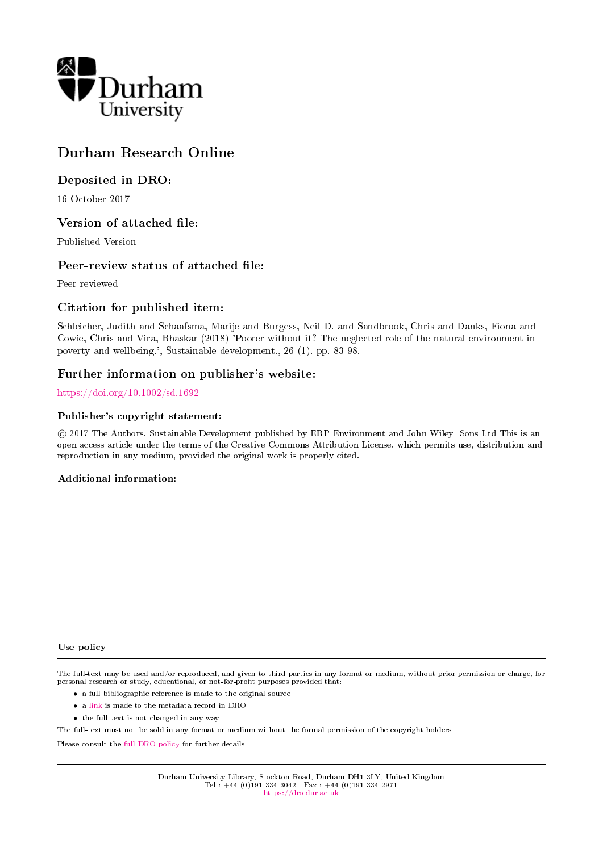

## Durham Research Online

## Deposited in DRO:

16 October 2017

## Version of attached file:

Published Version

## Peer-review status of attached file:

Peer-reviewed

## Citation for published item:

Schleicher, Judith and Schaafsma, Marije and Burgess, Neil D. and Sandbrook, Chris and Danks, Fiona and Cowie, Chris and Vira, Bhaskar (2018) 'Poorer without it? The neglected role of the natural environment in poverty and wellbeing.', Sustainable development., 26 (1). pp. 83-98.

## Further information on publisher's website:

<https://doi.org/10.1002/sd.1692>

#### Publisher's copyright statement:

 c 2017 The Authors. Sustainable Development published by ERP Environment and John Wiley Sons Ltd This is an open access article under the terms of the Creative Commons Attribution License, which permits use, distribution and reproduction in any medium, provided the original work is properly cited.

#### Additional information:

#### Use policy

The full-text may be used and/or reproduced, and given to third parties in any format or medium, without prior permission or charge, for personal research or study, educational, or not-for-profit purposes provided that:

- a full bibliographic reference is made to the original source
- a [link](http://dro.dur.ac.uk/23216/) is made to the metadata record in DRO
- the full-text is not changed in any way

The full-text must not be sold in any format or medium without the formal permission of the copyright holders.

Please consult the [full DRO policy](https://dro.dur.ac.uk/policies/usepolicy.pdf) for further details.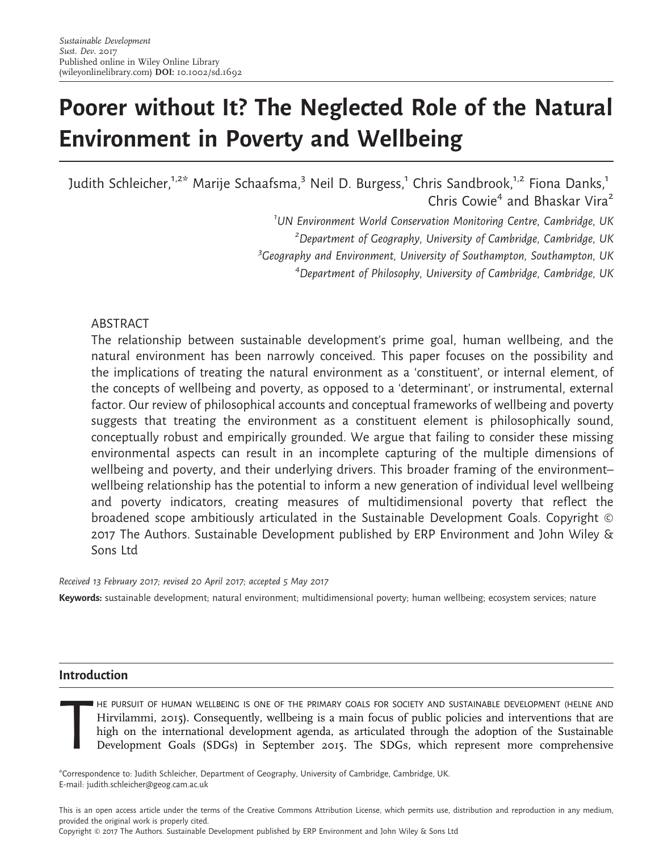# Poorer without It? The Neglected Role of the Natural Environment in Poverty and Wellbeing

Judith Schleicher,<sup>1,2\*</sup> Marije Schaafsma,<sup>3</sup> Neil D. Burgess,<sup>1</sup> Chris Sandbrook,<sup>1,2</sup> Fiona Danks,<sup>1</sup> Chris Cowie<sup>4</sup> and Bhaskar Vira<sup>2</sup>

 $1$ UN Environment World Conservation Monitoring Centre, Cambridge, UK

 $^2$ Department of Geography, University of Cambridge, Cambridge, UK

 $^3$ Geography and Environment, University of Southampton, Southampton, UK

4 Department of Philosophy, University of Cambridge, Cambridge, UK

### ABSTRACT

The relationship between sustainable development's prime goal, human wellbeing, and the natural environment has been narrowly conceived. This paper focuses on the possibility and the implications of treating the natural environment as a 'constituent', or internal element, of the concepts of wellbeing and poverty, as opposed to a 'determinant', or instrumental, external factor. Our review of philosophical accounts and conceptual frameworks of wellbeing and poverty suggests that treating the environment as a constituent element is philosophically sound, conceptually robust and empirically grounded. We argue that failing to consider these missing environmental aspects can result in an incomplete capturing of the multiple dimensions of wellbeing and poverty, and their underlying drivers. This broader framing of the environment– wellbeing relationship has the potential to inform a new generation of individual level wellbeing and poverty indicators, creating measures of multidimensional poverty that reflect the broadened scope ambitiously articulated in the Sustainable Development Goals. Copyright © 2017 The Authors. Sustainable Development published by ERP Environment and John Wiley & Sons Ltd

Received 13 February 2017; revised 20 April 2017; accepted 5 May 2017

Keywords: sustainable development; natural environment; multidimensional poverty; human wellbeing; ecosystem services; nature

#### Introduction

T HE PURSUIT OF HUMAN WELLBEING IS ONE OF THE PRIMARY GOALS FOR SOCIETY AND SUSTAINABLE DEVELOPMENT (HELNE AND Hirvilammi, 2015). Consequently, wellbeing is a main focus of public policies and interventions that are high on the international development agenda, as articulated through the adoption of the Sustainable Development Goals (SDGs) in September 2015. The SDGs, which represent more comprehensive

\*Correspondence to: Judith Schleicher, Department of Geography, University of Cambridge, Cambridge, UK. E-mail: judith.schleicher@geog.cam.ac.uk

This is an open access article under the terms of the [Creative Commons Attribution](http://creativecommons.org/licenses/by/4.0/) License, which permits use, distribution and reproduction in any medium, provided the original work is properly cited.

Copyright © 2017 The Authors. Sustainable Development published by ERP Environment and John Wiley & Sons Ltd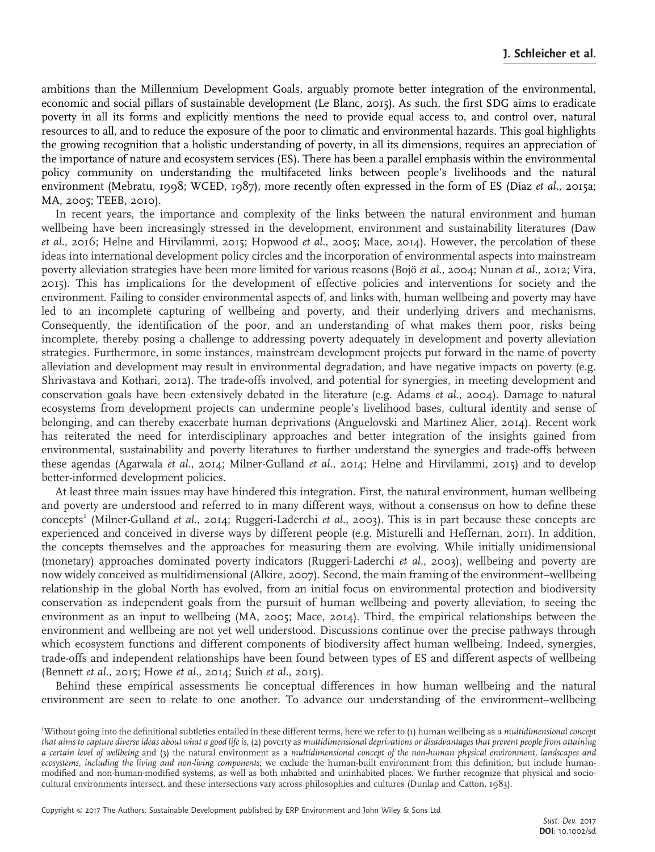ambitions than the Millennium Development Goals, arguably promote better integration of the environmental, economic and social pillars of sustainable development (Le Blanc, 2015). As such, the first SDG aims to eradicate poverty in all its forms and explicitly mentions the need to provide equal access to, and control over, natural resources to all, and to reduce the exposure of the poor to climatic and environmental hazards. This goal highlights the growing recognition that a holistic understanding of poverty, in all its dimensions, requires an appreciation of the importance of nature and ecosystem services (ES). There has been a parallel emphasis within the environmental policy community on understanding the multifaceted links between people's livelihoods and the natural environment (Mebratu, 1998; WCED, 1987), more recently often expressed in the form of ES (Díaz et al., 2015a; MA, 2005; TEEB, 2010).

In recent years, the importance and complexity of the links between the natural environment and human wellbeing have been increasingly stressed in the development, environment and sustainability literatures (Daw et al., 2016; Helne and Hirvilammi, 2015; Hopwood et al., 2005; Mace, 2014). However, the percolation of these ideas into international development policy circles and the incorporation of environmental aspects into mainstream poverty alleviation strategies have been more limited for various reasons (Bojö et al., 2004; Nunan et al., 2012; Vira, 2015). This has implications for the development of effective policies and interventions for society and the environment. Failing to consider environmental aspects of, and links with, human wellbeing and poverty may have led to an incomplete capturing of wellbeing and poverty, and their underlying drivers and mechanisms. Consequently, the identification of the poor, and an understanding of what makes them poor, risks being incomplete, thereby posing a challenge to addressing poverty adequately in development and poverty alleviation strategies. Furthermore, in some instances, mainstream development projects put forward in the name of poverty alleviation and development may result in environmental degradation, and have negative impacts on poverty (e.g. Shrivastava and Kothari, 2012). The trade-offs involved, and potential for synergies, in meeting development and conservation goals have been extensively debated in the literature (e.g. Adams et al., 2004). Damage to natural ecosystems from development projects can undermine people's livelihood bases, cultural identity and sense of belonging, and can thereby exacerbate human deprivations (Anguelovski and Martinez Alier, 2014). Recent work has reiterated the need for interdisciplinary approaches and better integration of the insights gained from environmental, sustainability and poverty literatures to further understand the synergies and trade-offs between these agendas (Agarwala et al., 2014; Milner-Gulland et al., 2014; Helne and Hirvilammi, 2015) and to develop better-informed development policies.

At least three main issues may have hindered this integration. First, the natural environment, human wellbeing and poverty are understood and referred to in many different ways, without a consensus on how to define these concepts<sup>1</sup> (Milner-Gulland *et al.*, 2014; Ruggeri-Laderchi *et al.*, 2003). This is in part because these concepts are experienced and conceived in diverse ways by different people (e.g. Misturelli and Heffernan, 2011). In addition, the concepts themselves and the approaches for measuring them are evolving. While initially unidimensional (monetary) approaches dominated poverty indicators (Ruggeri-Laderchi et al., 2003), wellbeing and poverty are now widely conceived as multidimensional (Alkire, 2007). Second, the main framing of the environment–wellbeing relationship in the global North has evolved, from an initial focus on environmental protection and biodiversity conservation as independent goals from the pursuit of human wellbeing and poverty alleviation, to seeing the environment as an input to wellbeing (MA, 2005; Mace, 2014). Third, the empirical relationships between the environment and wellbeing are not yet well understood. Discussions continue over the precise pathways through which ecosystem functions and different components of biodiversity affect human wellbeing. Indeed, synergies, trade-offs and independent relationships have been found between types of ES and different aspects of wellbeing (Bennett et al., 2015; Howe et al., 2014; Suich et al., 2015).

Behind these empirical assessments lie conceptual differences in how human wellbeing and the natural environment are seen to relate to one another. To advance our understanding of the environment–wellbeing

<sup>&</sup>lt;sup>1</sup>Without going into the definitional subtleties entailed in these different terms, here we refer to (1) human wellbeing as a multidimensional concept that aims to capture diverse ideas about what a good life is, (2) poverty as multidimensional deprivations or disadvantages that prevent people from attaining a certain level of wellbeing and (3) the natural environment as a multidimensional concept of the non-human physical environment, landscapes and ecosystems, including the living and non-living components; we exclude the human-built environment from this definition, but include humanmodified and non-human-modified systems, as well as both inhabited and uninhabited places. We further recognize that physical and sociocultural environments intersect, and these intersections vary across philosophies and cultures (Dunlap and Catton, 1983).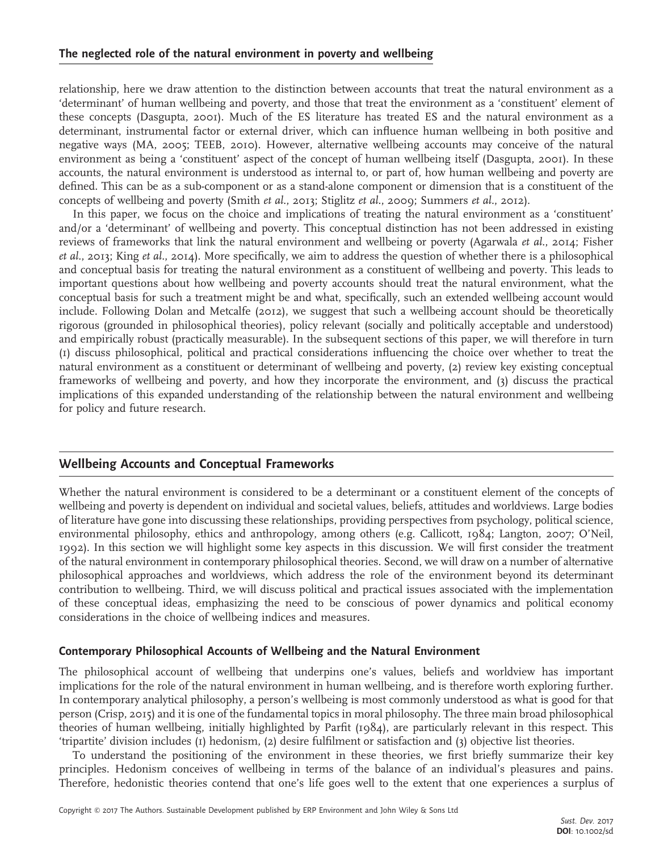relationship, here we draw attention to the distinction between accounts that treat the natural environment as a 'determinant' of human wellbeing and poverty, and those that treat the environment as a 'constituent' element of these concepts (Dasgupta, 2001). Much of the ES literature has treated ES and the natural environment as a determinant, instrumental factor or external driver, which can influence human wellbeing in both positive and negative ways (MA, 2005; TEEB, 2010). However, alternative wellbeing accounts may conceive of the natural environment as being a 'constituent' aspect of the concept of human wellbeing itself (Dasgupta, 2001). In these accounts, the natural environment is understood as internal to, or part of, how human wellbeing and poverty are defined. This can be as a sub-component or as a stand-alone component or dimension that is a constituent of the concepts of wellbeing and poverty (Smith et al., 2013; Stiglitz et al., 2009; Summers et al., 2012).

In this paper, we focus on the choice and implications of treating the natural environment as a 'constituent' and/or a 'determinant' of wellbeing and poverty. This conceptual distinction has not been addressed in existing reviews of frameworks that link the natural environment and wellbeing or poverty (Agarwala et al., 2014; Fisher et al., 2013; King et al., 2014). More specifically, we aim to address the question of whether there is a philosophical and conceptual basis for treating the natural environment as a constituent of wellbeing and poverty. This leads to important questions about how wellbeing and poverty accounts should treat the natural environment, what the conceptual basis for such a treatment might be and what, specifically, such an extended wellbeing account would include. Following Dolan and Metcalfe (2012), we suggest that such a wellbeing account should be theoretically rigorous (grounded in philosophical theories), policy relevant (socially and politically acceptable and understood) and empirically robust (practically measurable). In the subsequent sections of this paper, we will therefore in turn (1) discuss philosophical, political and practical considerations influencing the choice over whether to treat the natural environment as a constituent or determinant of wellbeing and poverty, (2) review key existing conceptual frameworks of wellbeing and poverty, and how they incorporate the environment, and (3) discuss the practical implications of this expanded understanding of the relationship between the natural environment and wellbeing for policy and future research.

#### Wellbeing Accounts and Conceptual Frameworks

Whether the natural environment is considered to be a determinant or a constituent element of the concepts of wellbeing and poverty is dependent on individual and societal values, beliefs, attitudes and worldviews. Large bodies of literature have gone into discussing these relationships, providing perspectives from psychology, political science, environmental philosophy, ethics and anthropology, among others (e.g. Callicott, 1984; Langton, 2007; O'Neil, 1992). In this section we will highlight some key aspects in this discussion. We will first consider the treatment of the natural environment in contemporary philosophical theories. Second, we will draw on a number of alternative philosophical approaches and worldviews, which address the role of the environment beyond its determinant contribution to wellbeing. Third, we will discuss political and practical issues associated with the implementation of these conceptual ideas, emphasizing the need to be conscious of power dynamics and political economy considerations in the choice of wellbeing indices and measures.

#### Contemporary Philosophical Accounts of Wellbeing and the Natural Environment

The philosophical account of wellbeing that underpins one's values, beliefs and worldview has important implications for the role of the natural environment in human wellbeing, and is therefore worth exploring further. In contemporary analytical philosophy, a person's wellbeing is most commonly understood as what is good for that person (Crisp, 2015) and it is one of the fundamental topics in moral philosophy. The three main broad philosophical theories of human wellbeing, initially highlighted by Parfit (1984), are particularly relevant in this respect. This 'tripartite' division includes (1) hedonism, (2) desire fulfilment or satisfaction and (3) objective list theories.

To understand the positioning of the environment in these theories, we first briefly summarize their key principles. Hedonism conceives of wellbeing in terms of the balance of an individual's pleasures and pains. Therefore, hedonistic theories contend that one's life goes well to the extent that one experiences a surplus of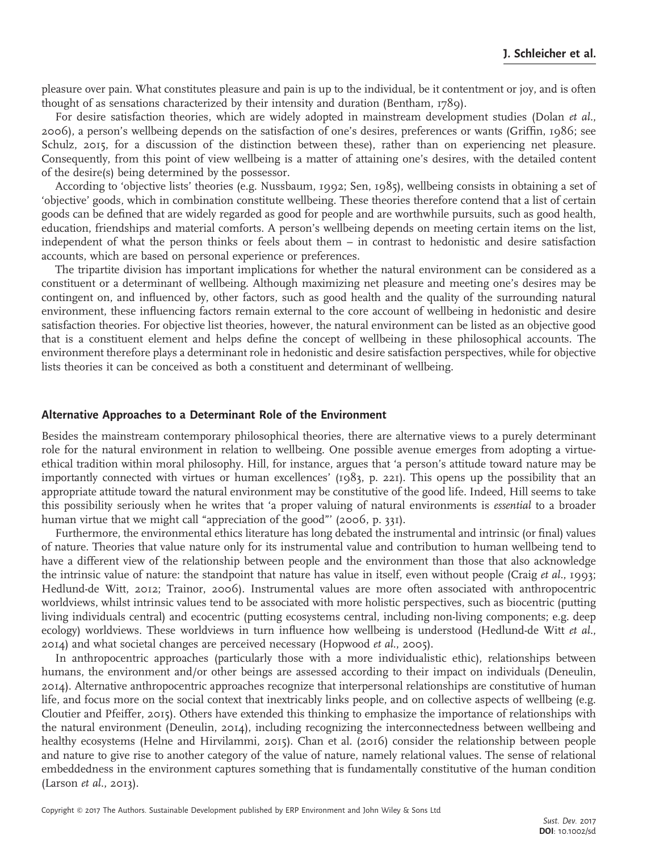pleasure over pain. What constitutes pleasure and pain is up to the individual, be it contentment or joy, and is often thought of as sensations characterized by their intensity and duration (Bentham, 1789).

For desire satisfaction theories, which are widely adopted in mainstream development studies (Dolan et al., 2006), a person's wellbeing depends on the satisfaction of one's desires, preferences or wants (Griffin, 1986; see Schulz, 2015, for a discussion of the distinction between these), rather than on experiencing net pleasure. Consequently, from this point of view wellbeing is a matter of attaining one's desires, with the detailed content of the desire(s) being determined by the possessor.

According to 'objective lists' theories (e.g. Nussbaum, 1992; Sen, 1985), wellbeing consists in obtaining a set of 'objective' goods, which in combination constitute wellbeing. These theories therefore contend that a list of certain goods can be defined that are widely regarded as good for people and are worthwhile pursuits, such as good health, education, friendships and material comforts. A person's wellbeing depends on meeting certain items on the list, independent of what the person thinks or feels about them – in contrast to hedonistic and desire satisfaction accounts, which are based on personal experience or preferences.

The tripartite division has important implications for whether the natural environment can be considered as a constituent or a determinant of wellbeing. Although maximizing net pleasure and meeting one's desires may be contingent on, and influenced by, other factors, such as good health and the quality of the surrounding natural environment, these influencing factors remain external to the core account of wellbeing in hedonistic and desire satisfaction theories. For objective list theories, however, the natural environment can be listed as an objective good that is a constituent element and helps define the concept of wellbeing in these philosophical accounts. The environment therefore plays a determinant role in hedonistic and desire satisfaction perspectives, while for objective lists theories it can be conceived as both a constituent and determinant of wellbeing.

#### Alternative Approaches to a Determinant Role of the Environment

Besides the mainstream contemporary philosophical theories, there are alternative views to a purely determinant role for the natural environment in relation to wellbeing. One possible avenue emerges from adopting a virtueethical tradition within moral philosophy. Hill, for instance, argues that 'a person's attitude toward nature may be importantly connected with virtues or human excellences' (1983, p. 221). This opens up the possibility that an appropriate attitude toward the natural environment may be constitutive of the good life. Indeed, Hill seems to take this possibility seriously when he writes that 'a proper valuing of natural environments is essential to a broader human virtue that we might call "appreciation of the good"' (2006, p. 331).

Furthermore, the environmental ethics literature has long debated the instrumental and intrinsic (or final) values of nature. Theories that value nature only for its instrumental value and contribution to human wellbeing tend to have a different view of the relationship between people and the environment than those that also acknowledge the intrinsic value of nature: the standpoint that nature has value in itself, even without people (Craig et al., 1993; Hedlund-de Witt, 2012; Trainor, 2006). Instrumental values are more often associated with anthropocentric worldviews, whilst intrinsic values tend to be associated with more holistic perspectives, such as biocentric (putting living individuals central) and ecocentric (putting ecosystems central, including non-living components; e.g. deep ecology) worldviews. These worldviews in turn influence how wellbeing is understood (Hedlund-de Witt et al., 2014) and what societal changes are perceived necessary (Hopwood et al., 2005).

In anthropocentric approaches (particularly those with a more individualistic ethic), relationships between humans, the environment and/or other beings are assessed according to their impact on individuals (Deneulin, 2014). Alternative anthropocentric approaches recognize that interpersonal relationships are constitutive of human life, and focus more on the social context that inextricably links people, and on collective aspects of wellbeing (e.g. Cloutier and Pfeiffer, 2015). Others have extended this thinking to emphasize the importance of relationships with the natural environment (Deneulin, 2014), including recognizing the interconnectedness between wellbeing and healthy ecosystems (Helne and Hirvilammi, 2015). Chan et al. (2016) consider the relationship between people and nature to give rise to another category of the value of nature, namely relational values. The sense of relational embeddedness in the environment captures something that is fundamentally constitutive of the human condition (Larson et al., 2013).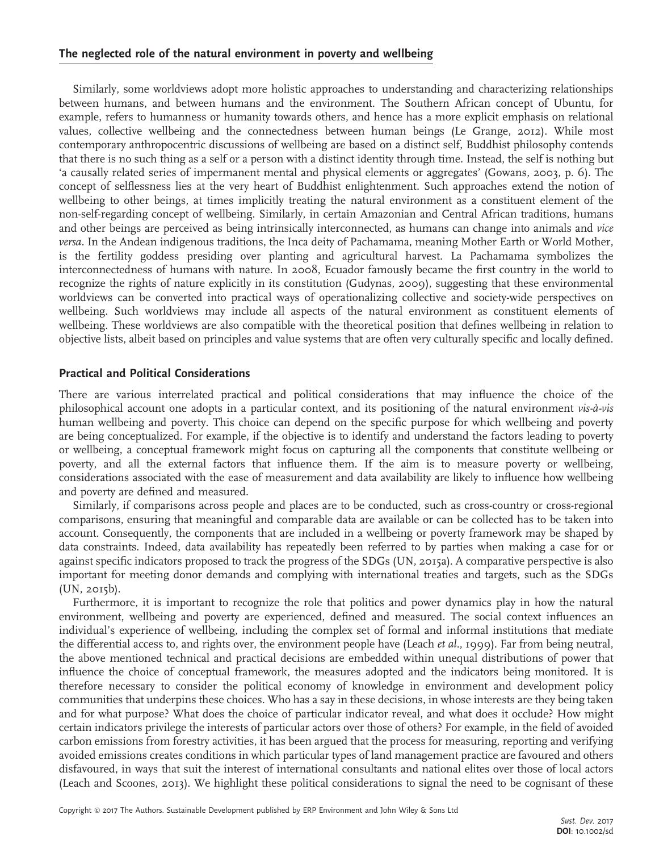Similarly, some worldviews adopt more holistic approaches to understanding and characterizing relationships between humans, and between humans and the environment. The Southern African concept of Ubuntu, for example, refers to humanness or humanity towards others, and hence has a more explicit emphasis on relational values, collective wellbeing and the connectedness between human beings (Le Grange, 2012). While most contemporary anthropocentric discussions of wellbeing are based on a distinct self, Buddhist philosophy contends that there is no such thing as a self or a person with a distinct identity through time. Instead, the self is nothing but 'a causally related series of impermanent mental and physical elements or aggregates' (Gowans, 2003, p. 6). The concept of selflessness lies at the very heart of Buddhist enlightenment. Such approaches extend the notion of wellbeing to other beings, at times implicitly treating the natural environment as a constituent element of the non-self-regarding concept of wellbeing. Similarly, in certain Amazonian and Central African traditions, humans and other beings are perceived as being intrinsically interconnected, as humans can change into animals and vice versa. In the Andean indigenous traditions, the Inca deity of Pachamama, meaning Mother Earth or World Mother, is the fertility goddess presiding over planting and agricultural harvest. La Pachamama symbolizes the interconnectedness of humans with nature. In 2008, Ecuador famously became the first country in the world to recognize the rights of nature explicitly in its constitution (Gudynas, 2009), suggesting that these environmental worldviews can be converted into practical ways of operationalizing collective and society-wide perspectives on wellbeing. Such worldviews may include all aspects of the natural environment as constituent elements of wellbeing. These worldviews are also compatible with the theoretical position that defines wellbeing in relation to objective lists, albeit based on principles and value systems that are often very culturally specific and locally defined.

#### Practical and Political Considerations

There are various interrelated practical and political considerations that may influence the choice of the philosophical account one adopts in a particular context, and its positioning of the natural environment vis-à-vis human wellbeing and poverty. This choice can depend on the specific purpose for which wellbeing and poverty are being conceptualized. For example, if the objective is to identify and understand the factors leading to poverty or wellbeing, a conceptual framework might focus on capturing all the components that constitute wellbeing or poverty, and all the external factors that influence them. If the aim is to measure poverty or wellbeing, considerations associated with the ease of measurement and data availability are likely to influence how wellbeing and poverty are defined and measured.

Similarly, if comparisons across people and places are to be conducted, such as cross-country or cross-regional comparisons, ensuring that meaningful and comparable data are available or can be collected has to be taken into account. Consequently, the components that are included in a wellbeing or poverty framework may be shaped by data constraints. Indeed, data availability has repeatedly been referred to by parties when making a case for or against specific indicators proposed to track the progress of the SDGs (UN, 2015a). A comparative perspective is also important for meeting donor demands and complying with international treaties and targets, such as the SDGs (UN, 2015b).

Furthermore, it is important to recognize the role that politics and power dynamics play in how the natural environment, wellbeing and poverty are experienced, defined and measured. The social context influences an individual's experience of wellbeing, including the complex set of formal and informal institutions that mediate the differential access to, and rights over, the environment people have (Leach et al., 1999). Far from being neutral, the above mentioned technical and practical decisions are embedded within unequal distributions of power that influence the choice of conceptual framework, the measures adopted and the indicators being monitored. It is therefore necessary to consider the political economy of knowledge in environment and development policy communities that underpins these choices. Who has a say in these decisions, in whose interests are they being taken and for what purpose? What does the choice of particular indicator reveal, and what does it occlude? How might certain indicators privilege the interests of particular actors over those of others? For example, in the field of avoided carbon emissions from forestry activities, it has been argued that the process for measuring, reporting and verifying avoided emissions creates conditions in which particular types of land management practice are favoured and others disfavoured, in ways that suit the interest of international consultants and national elites over those of local actors (Leach and Scoones, 2013). We highlight these political considerations to signal the need to be cognisant of these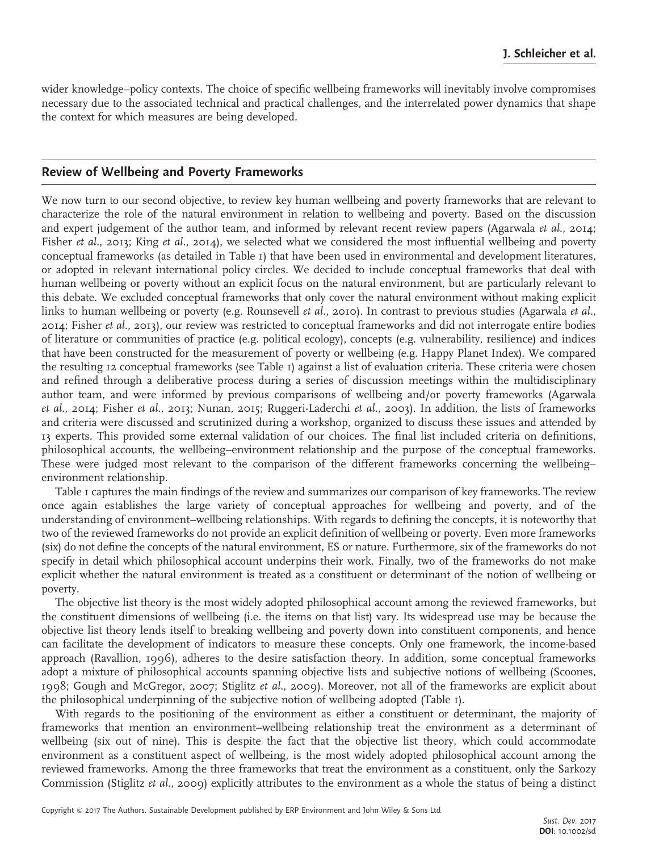wider knowledge–policy contexts. The choice of specific wellbeing frameworks will inevitably involve compromises necessary due to the associated technical and practical challenges, and the interrelated power dynamics that shape the context for which measures are being developed.

#### Review of Wellbeing and Poverty Frameworks

We now turn to our second objective, to review key human wellbeing and poverty frameworks that are relevant to characterize the role of the natural environment in relation to wellbeing and poverty. Based on the discussion and expert judgement of the author team, and informed by relevant recent review papers (Agarwala et al., 2014; Fisher et al., 2013; King et al., 2014), we selected what we considered the most influential wellbeing and poverty conceptual frameworks (as detailed in Table 1) that have been used in environmental and development literatures, or adopted in relevant international policy circles. We decided to include conceptual frameworks that deal with human wellbeing or poverty without an explicit focus on the natural environment, but are particularly relevant to this debate. We excluded conceptual frameworks that only cover the natural environment without making explicit links to human wellbeing or poverty (e.g. Rounsevell et al., 2010). In contrast to previous studies (Agarwala et al., 2014; Fisher et al., 2013), our review was restricted to conceptual frameworks and did not interrogate entire bodies of literature or communities of practice (e.g. political ecology), concepts (e.g. vulnerability, resilience) and indices that have been constructed for the measurement of poverty or wellbeing (e.g. Happy Planet Index). We compared the resulting 12 conceptual frameworks (see Table 1) against a list of evaluation criteria. These criteria were chosen and refined through a deliberative process during a series of discussion meetings within the multidisciplinary author team, and were informed by previous comparisons of wellbeing and/or poverty frameworks (Agarwala et al., 2014; Fisher et al., 2013; Nunan, 2015; Ruggeri-Laderchi et al., 2003). In addition, the lists of frameworks and criteria were discussed and scrutinized during a workshop, organized to discuss these issues and attended by 13 experts. This provided some external validation of our choices. The final list included criteria on definitions, philosophical accounts, the wellbeing–environment relationship and the purpose of the conceptual frameworks. These were judged most relevant to the comparison of the different frameworks concerning the wellbeing– environment relationship.

Table 1 captures the main findings of the review and summarizes our comparison of key frameworks. The review once again establishes the large variety of conceptual approaches for wellbeing and poverty, and of the understanding of environment–wellbeing relationships. With regards to defining the concepts, it is noteworthy that two of the reviewed frameworks do not provide an explicit definition of wellbeing or poverty. Even more frameworks (six) do not define the concepts of the natural environment, ES or nature. Furthermore, six of the frameworks do not specify in detail which philosophical account underpins their work. Finally, two of the frameworks do not make explicit whether the natural environment is treated as a constituent or determinant of the notion of wellbeing or poverty.

The objective list theory is the most widely adopted philosophical account among the reviewed frameworks, but the constituent dimensions of wellbeing (i.e. the items on that list) vary. Its widespread use may be because the objective list theory lends itself to breaking wellbeing and poverty down into constituent components, and hence can facilitate the development of indicators to measure these concepts. Only one framework, the income-based approach (Ravallion, 1996), adheres to the desire satisfaction theory. In addition, some conceptual frameworks adopt a mixture of philosophical accounts spanning objective lists and subjective notions of wellbeing (Scoones, 1998; Gough and McGregor, 2007; Stiglitz et al., 2009). Moreover, not all of the frameworks are explicit about the philosophical underpinning of the subjective notion of wellbeing adopted (Table 1).

With regards to the positioning of the environment as either a constituent or determinant, the majority of frameworks that mention an environment–wellbeing relationship treat the environment as a determinant of wellbeing (six out of nine). This is despite the fact that the objective list theory, which could accommodate environment as a constituent aspect of wellbeing, is the most widely adopted philosophical account among the reviewed frameworks. Among the three frameworks that treat the environment as a constituent, only the Sarkozy Commission (Stiglitz et al., 2009) explicitly attributes to the environment as a whole the status of being a distinct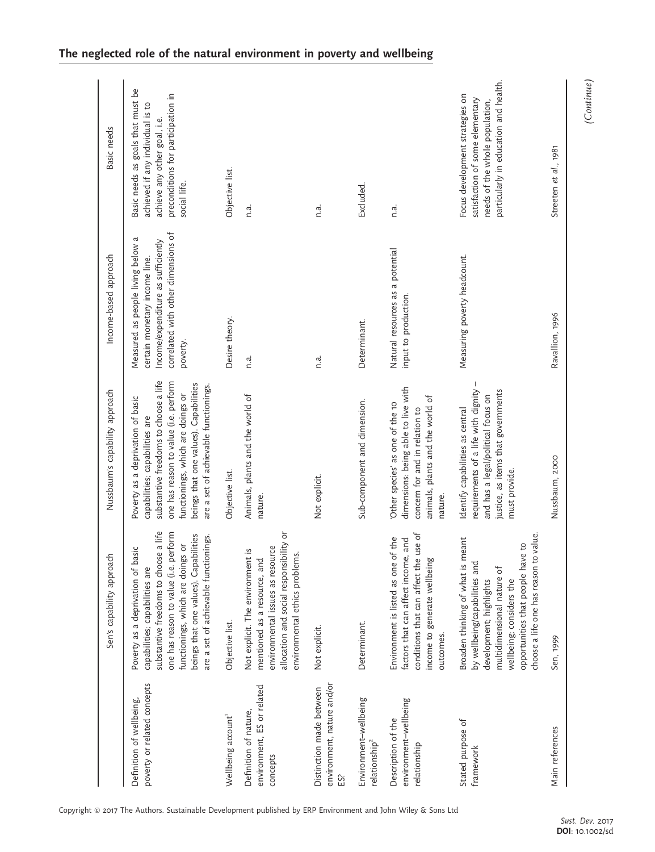|                                                                 | approach<br>Sen's capability                                                                                                                                                                                                                                                 | Nussbaum's capability approach                                                                                                                                                                                                                                               | Income-based approach                                                                                                                                          | Basic needs                                                                                                                                                 |
|-----------------------------------------------------------------|------------------------------------------------------------------------------------------------------------------------------------------------------------------------------------------------------------------------------------------------------------------------------|------------------------------------------------------------------------------------------------------------------------------------------------------------------------------------------------------------------------------------------------------------------------------|----------------------------------------------------------------------------------------------------------------------------------------------------------------|-------------------------------------------------------------------------------------------------------------------------------------------------------------|
| poverty or related concepts<br>Definition of wellbeing,         | substantive freedoms to choose a life<br>one has reason to value (i.e. perform<br>beings that one values). Capabilities<br>are a set of achievable functionings.<br>functionings, which are doings or<br>Poverty as a deprivation of basic<br>capabilities; capabilities are | substantive freedoms to choose a life<br>one has reason to value (i.e. perform<br>beings that one values). Capabilities<br>are a set of achievable functionings.<br>functionings, which are doings or<br>Poverty as a deprivation of basic<br>capabilities; capabilities are | correlated with other dimensions of<br>ß<br>Income/expenditure as sufficiently<br>Measured as people living below<br>certain monetary income line.<br>poverty. | Basic needs as goals that must be<br>preconditions for participation in<br>achieved if any individual is to<br>achieve any other goal, i.e.<br>social life. |
| Wellbeing account <sup>1</sup>                                  | Objective list.                                                                                                                                                                                                                                                              | Objective list.                                                                                                                                                                                                                                                              | Desire theory.                                                                                                                                                 | Objective list.                                                                                                                                             |
| environment, ES or related<br>Definition of nature,<br>concepts | allocation and social responsibility or<br>environmental issues as resource<br>Not explicit. The environment is<br>environmental ethics problems.<br>mentioned as a resource, and                                                                                            | Animals, plants and the world of<br>nature                                                                                                                                                                                                                                   | n.a.                                                                                                                                                           | n.a.                                                                                                                                                        |
| environment, nature and/or<br>Distinction made between<br>ΕŜ    | Not explicit.                                                                                                                                                                                                                                                                | Not explicit.                                                                                                                                                                                                                                                                | n.a.                                                                                                                                                           | n.a.                                                                                                                                                        |
| Environment-wellbeing<br>relationship <sup>2</sup>              | Determinant.                                                                                                                                                                                                                                                                 | Sub-component and dimension.                                                                                                                                                                                                                                                 | Determinant.                                                                                                                                                   | Excluded.                                                                                                                                                   |
| environment-wellbeing<br>Description of the<br>relationship     | conditions that can affect the use of<br>Environment is listed as one of the<br>factors that can affect income, and<br>wellbeing<br>income to generate<br>outcomes.                                                                                                          | dimensions: being able to live with<br>animals, plants and the world of<br>'Other species' as one of the 10<br>concern for and in relation to<br>nature.                                                                                                                     | Natural resources as a potential<br>input to production.                                                                                                       | n.a.                                                                                                                                                        |
| Stated purpose of<br>framework                                  | choose a life one has reason to value.<br>Broaden thinking of what is meant<br>opportunities that people have to<br>by wellbeing/capabilities and<br>multidimensional nature of<br>development; highlights<br>wellbeing; considers the                                       | $\mathsf{I}$<br>requirements of a life with dignity<br>justice, as items that governments<br>and has a legal/political focus on<br>Identify capabilities as central<br>must provide.                                                                                         | Measuring poverty headcount.                                                                                                                                   | particularly in education and health.<br>Focus development strategies on<br>satisfaction of some elementary<br>needs of the whole population,               |
| Main references                                                 | Sen, 1999                                                                                                                                                                                                                                                                    | Nussbaum, 2000                                                                                                                                                                                                                                                               | Ravallion, 1996                                                                                                                                                | Streeten et al., 1981                                                                                                                                       |
|                                                                 |                                                                                                                                                                                                                                                                              |                                                                                                                                                                                                                                                                              |                                                                                                                                                                |                                                                                                                                                             |

(Continue)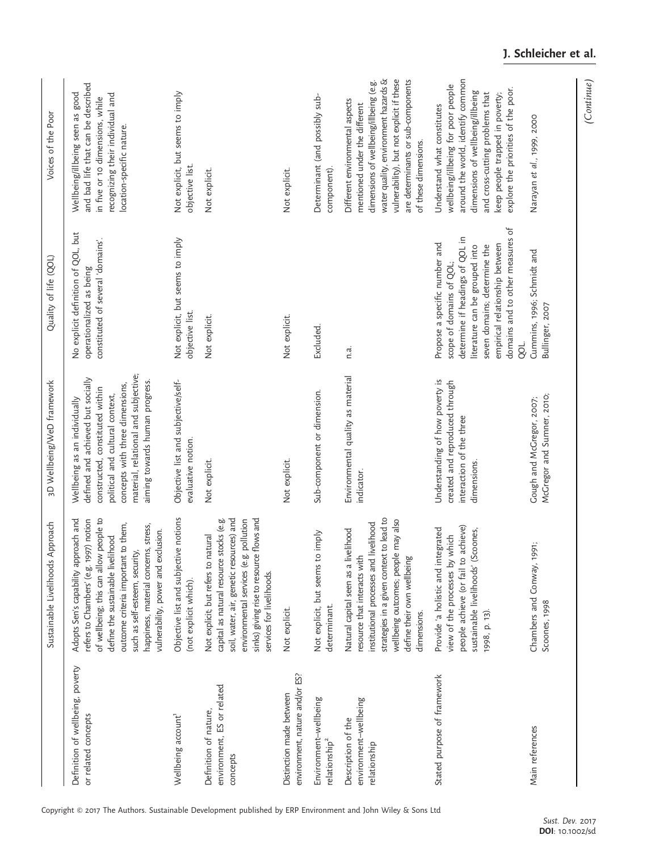|                                                                 | Sustainable Livelihoods Approach                                                                                                                                                                                                                                                                                       | 3D Wellbeing/WeD framework                                                                                                                                                                                                                           | Quality of life (QOL)                                                                                                                                                                                                                        | Voices of the Poor                                                                                                                                                                                                                                            |
|-----------------------------------------------------------------|------------------------------------------------------------------------------------------------------------------------------------------------------------------------------------------------------------------------------------------------------------------------------------------------------------------------|------------------------------------------------------------------------------------------------------------------------------------------------------------------------------------------------------------------------------------------------------|----------------------------------------------------------------------------------------------------------------------------------------------------------------------------------------------------------------------------------------------|---------------------------------------------------------------------------------------------------------------------------------------------------------------------------------------------------------------------------------------------------------------|
| Definition of wellbeing, poverty<br>or related concepts         | of wellbeing; this can allow people to<br>Adopts Sen's capability approach and<br>refers to Chambers' (e.g. 1997) notion<br>outcome criteria important to them,<br>happiness, material concerns, stress,<br>vulnerability, power and exclusion.<br>define the sustainable livelihood<br>such as self-esteem, security, | material, relational and subjective;<br>defined and achieved but socially<br>aiming towards human progress.<br>concepts with three dimensions,<br>constructed, constituted within<br>political and cultural context,<br>Wellbeing as an individually | No explicit definition of QOL, but<br>constituted of several 'domains'.<br>operationalized as being                                                                                                                                          | and bad life that can be described<br>Wellbeing/illbeing seen as good<br>recognizing their individual and<br>in five or 10 dimensions, while<br>location-specific nature.                                                                                     |
| Wellbeing account <sup>1</sup>                                  | Objective list and subjective notions<br>(not explicit which).                                                                                                                                                                                                                                                         | Objective list and subjective/self-<br>evaluative notion.                                                                                                                                                                                            | Not explicit, but seems to imply<br>objective list.                                                                                                                                                                                          | Not explicit, but seems to imply<br>objective list.                                                                                                                                                                                                           |
| environment, ES or related<br>Definition of nature,<br>concepts | capital as natural resource stocks (e.g.<br>soil, water, air, genetic resources) and<br>sinks) giving rise to resource flows and<br>environmental services (e.g. pollution<br>Not explicit; but refers to natural<br>services for livelihoods.                                                                         | Not explicit.                                                                                                                                                                                                                                        | Not explicit.                                                                                                                                                                                                                                | Not explicit.                                                                                                                                                                                                                                                 |
| environment, nature and/or ES?<br>Distinction made between      | Not explicit.                                                                                                                                                                                                                                                                                                          | Not explicit.                                                                                                                                                                                                                                        | Not explicit.                                                                                                                                                                                                                                | Not explicit.                                                                                                                                                                                                                                                 |
| Environment-wellbeing<br>relationship <sup>2</sup>              | Not explicit, but seems to imply<br>determinant.                                                                                                                                                                                                                                                                       | Sub-component or dimension.                                                                                                                                                                                                                          | Excluded.                                                                                                                                                                                                                                    | Determinant (and possibly sub-<br>component)                                                                                                                                                                                                                  |
| environment-wellbeing<br>Description of the<br>relationship     | strategies in a given context to lead to<br>wellbeing outcomes; people may also<br>institutional processes and livelihood<br>Natural capital seen as a livelihood<br>resource that interacts with<br>define their own wellbeing<br>dimensions.                                                                         | Environmental quality as material<br>indicator                                                                                                                                                                                                       | n.a.                                                                                                                                                                                                                                         | water quality, environment hazards &<br>vulnerability), but not explicit if these<br>are determinants or sub-components<br>dimensions of wellbeing/illbeing (e.g.<br>Different environmental aspects<br>mentioned under the different<br>of these dimensions. |
| Stated purpose of framework                                     | people achieve (or fail to achieve)<br>Provide 'a holistic and integrated<br>sustainable livelihoods' (Scoones,<br>view of the processes by which<br>1998, p. 13).                                                                                                                                                     | Understanding of how poverty is<br>created and reproduced through<br>interaction of the three<br>dimensions.                                                                                                                                         | domains and to other measures of<br>determine if headings of QOL in<br>Propose a specific number and<br>empirical relationship between<br>seven domains; determine the<br>literature can be grouped into<br>scope of domains of QOL;<br>QOL. | around the world, identify common<br>wellbeing/illbeing for poor people<br>explore the priorities of the poor.<br>dimensions of wellbeing/illbeing<br>and cross-cutting problems that<br>keep people trapped in poverty;<br>Understand what constitutes       |
| Main references                                                 | Conway, 1991;<br>Chambers and<br>Scoones, 1998                                                                                                                                                                                                                                                                         | McGregor and Sumner, 2010;<br>Cough and McCregor, 2007;                                                                                                                                                                                              | Cummins, 1996; Schmidt and<br>Bullinger, 2007                                                                                                                                                                                                | Narayan et al., 1999, 2000                                                                                                                                                                                                                                    |

(Continue)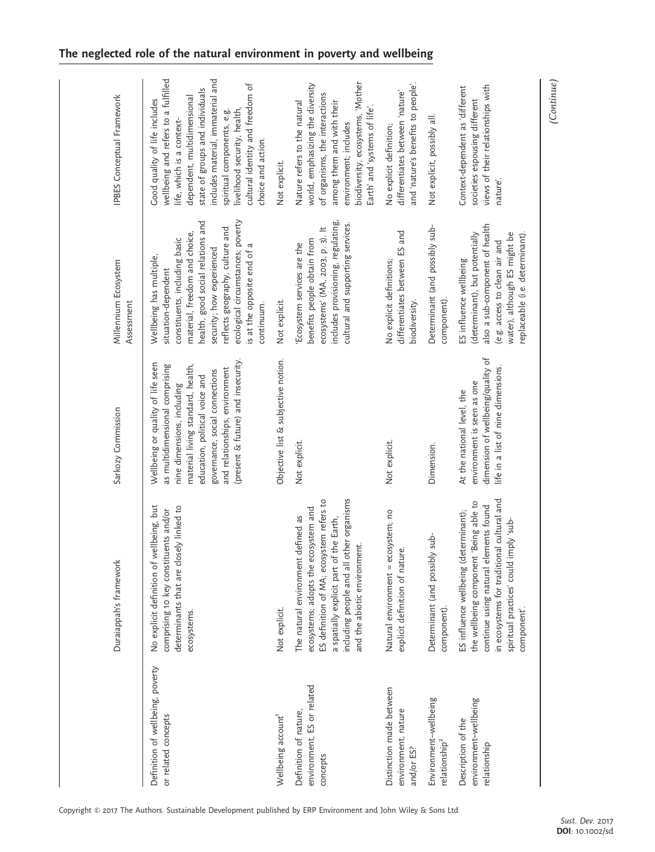|                                                                 | Duraiappah's framework                                                                                                                                                                                                                        | Sarkozy Commission                                                                                                                                                                                                                                                                 | Millennium Ecosystem<br>Assessment                                                                                                                                                                                                                                                                    | IPBES Conceptual Framework                                                                                                                                                                                                                                                                                                       |
|-----------------------------------------------------------------|-----------------------------------------------------------------------------------------------------------------------------------------------------------------------------------------------------------------------------------------------|------------------------------------------------------------------------------------------------------------------------------------------------------------------------------------------------------------------------------------------------------------------------------------|-------------------------------------------------------------------------------------------------------------------------------------------------------------------------------------------------------------------------------------------------------------------------------------------------------|----------------------------------------------------------------------------------------------------------------------------------------------------------------------------------------------------------------------------------------------------------------------------------------------------------------------------------|
| Definition of wellbeing, poverty<br>or related concepts         | No explicit definition of wellbeing, but<br>determinants that are closely linked to<br>comprising 10 key constituents and/or<br>ecosystems.                                                                                                   | (present & future) and insecurity.<br>Wellbeing or quality of life seen<br>as multidimensional comprising<br>material living standard, health,<br>and relationships, environment<br>governance, social connections<br>education, political voice and<br>nine dimensions, including | ecological circumstances; poverty<br>health, good social relations and<br>reflects geography, culture and<br>material, freedom and choice,<br>constituents, including basic<br>security; how experienced<br>is at the opposite end of<br>Wellbeing has multiple,<br>situation-dependent<br>continuum. | wellbeing and refers to a fulfilled<br>includes material, immaterial and<br>cultural identity and freedom of<br>state of groups and individuals<br>dependent, multidimensional<br>Good quality of life includes<br>livelihood security, health,<br>spiritual components, e.g.<br>life, which is a context-<br>choice and action. |
| Wellbeing account <sup>1</sup>                                  | Not explicit.                                                                                                                                                                                                                                 | Objective list & subjective notion.                                                                                                                                                                                                                                                | Not explicit.                                                                                                                                                                                                                                                                                         | Not explicit.                                                                                                                                                                                                                                                                                                                    |
| environment, ES or related<br>Definition of nature,<br>concepts | including people and all other organisms<br>ES definition of MA; ecosystem refers to<br>ecosystems; adopts the ecosystem and<br>The natural environment defined as<br>a spatially explicit part of the Earth,<br>and the abiotic environment. | Not explicit.                                                                                                                                                                                                                                                                      | includes provisioning, regulating,<br>cultural and supporting services.<br>ecosystems' (MA, 2003, p. 3). It<br>benefits people obtain from<br>Ecosystem services are the                                                                                                                              | biodiversity, ecosystems, 'Mother<br>world, emphasizing the diversity<br>of organisms, the interactions<br>Nature refers to the natural<br>among them and with their<br>Earth' and 'systems of life'.<br>environment; includes                                                                                                   |
| Distinction made between<br>environment, nature<br>and/or ES?   | Natural environment = ecosystem; no<br>explicit definition of nature.                                                                                                                                                                         | Not explicit.                                                                                                                                                                                                                                                                      | differentiates between ES and<br>No explicit definitions;<br>biodiversity                                                                                                                                                                                                                             | and 'nature's benefits to people'.<br>differentiates between 'nature'<br>No explicit definition;                                                                                                                                                                                                                                 |
| Environment-wellbeing<br>relationship <sup>2</sup>              | and possibly sub-<br>Determinant (ar<br>component).                                                                                                                                                                                           | Dimension.                                                                                                                                                                                                                                                                         | Determinant (and possibly sub-<br>component).                                                                                                                                                                                                                                                         | Not explicit, possibly all.                                                                                                                                                                                                                                                                                                      |
| environment-wellbeing<br>Description of the<br>relationship     | in ecosystems for traditional cultural and<br>the wellbeing component 'Being able to<br>continue using natural elements found<br>ES influence wellbeing (determinant);<br>spiritual practices' could imply 'sub-<br>component'.               | dimension of wellbeing/quality of<br>life in a list of nine dimensions.<br>environment is seen as one<br>At the national level, the                                                                                                                                                | also a sub-component of health<br>(determinant), but potentially<br>water), although ES might be<br>eplaceable (i.e. determinant).<br>(e.g. access to clean air and<br>ES influence wellbeing                                                                                                         | views of their relationships with<br>Context-dependent as 'different<br>societies espousing different<br>nature'.                                                                                                                                                                                                                |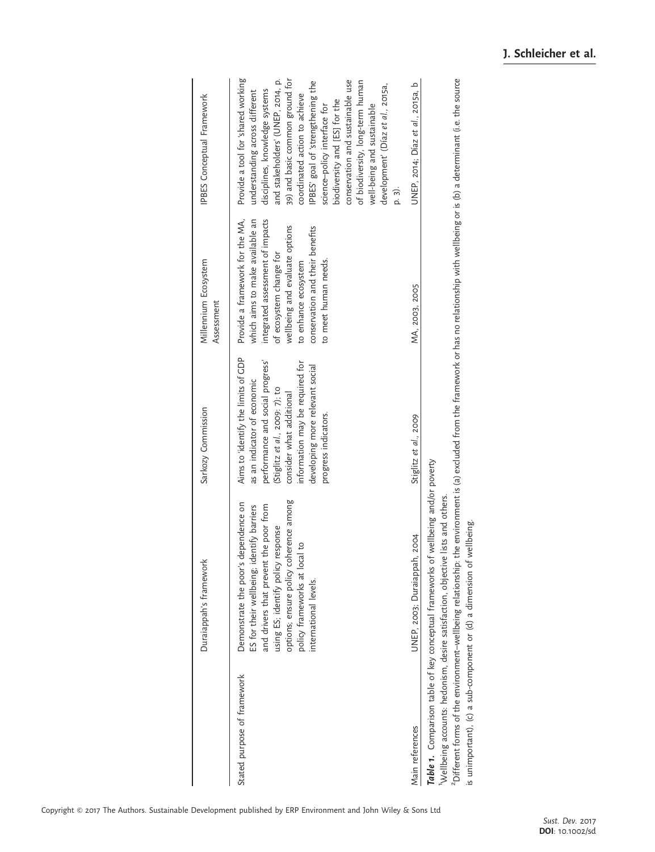|                             | Duraiappah's framework                                                                                                                                                                                                                                                                                                                                                            | Sarkozy Commission                                                                                                                                                                                                                                                 | Millennium Ecosystem<br>Assessment                                                                                                                                                                                                                     | IPBES Conceptual Framework                                                                                                                                                                                                                                                                                                                                                                                                                                                 |
|-----------------------------|-----------------------------------------------------------------------------------------------------------------------------------------------------------------------------------------------------------------------------------------------------------------------------------------------------------------------------------------------------------------------------------|--------------------------------------------------------------------------------------------------------------------------------------------------------------------------------------------------------------------------------------------------------------------|--------------------------------------------------------------------------------------------------------------------------------------------------------------------------------------------------------------------------------------------------------|----------------------------------------------------------------------------------------------------------------------------------------------------------------------------------------------------------------------------------------------------------------------------------------------------------------------------------------------------------------------------------------------------------------------------------------------------------------------------|
| Stated purpose of framework | options; ensure policy coherence among<br>Demonstrate the poor's dependence on<br>and drivers that prevent the poor from<br>ES for their wellbeing; identify barriers<br>using ES; identify policy response<br>policy frameworks at local to<br>nternational levels.                                                                                                              | Aims to 'identify the limits of GDP<br>performance and social progress'<br>information may be required for<br>developing more relevant social<br>as an indicator of economic<br>(Stiglitz et al., 2009: 7); to<br>consider what additional<br>progress indicators. | integrated assessment of impacts<br>Provide a framework for the MA,<br>which aims to make available an<br>wellbeing and evaluate options<br>conservation and their benefits<br>of ecosystem change for<br>to meet human needs.<br>to enhance ecosystem | Provide a tool for 'shared working<br>and stakeholders' (UNEP, 2014, p.<br>39) and basic common ground for<br>conservation and sustainable use<br>IPBES' goal of 'strengthening the<br>of biodiversity, long-term human<br>development' (Díaz et al., 2015a,<br>disciplines, knowledge systems<br>understanding across different<br>coordinated action to achieve<br>biodiversity and [ES] for the<br>science-policy interface for<br>well-being and sustainable<br>p. 3). |
| Main references             | UNEP, 2003; Duraiappah, 2004                                                                                                                                                                                                                                                                                                                                                      | Stiglitz et al., 2009                                                                                                                                                                                                                                              | MA, 2003, 2005                                                                                                                                                                                                                                         | UNEP, 2014; Díaz et al., 2015a, b                                                                                                                                                                                                                                                                                                                                                                                                                                          |
|                             | <sup>2</sup> Different forms of the environment-wellbeing relationship: the environment is (a) excluded from the framework or has no relationship with wellbeing or is (b) a determinant (i.e. the source<br>Table 1. Comparison table of key conceptual frameworks of wellbeing and/or poverty<br>Wellbeing accounts: hedonism, desire satisfaction, objective lists and others. |                                                                                                                                                                                                                                                                    |                                                                                                                                                                                                                                                        |                                                                                                                                                                                                                                                                                                                                                                                                                                                                            |

is unimportant), (c) a sub-component or (d) a dimension of wellbeing. is unimportant), (c) a sub-component or (d) a dimension of wellbeing.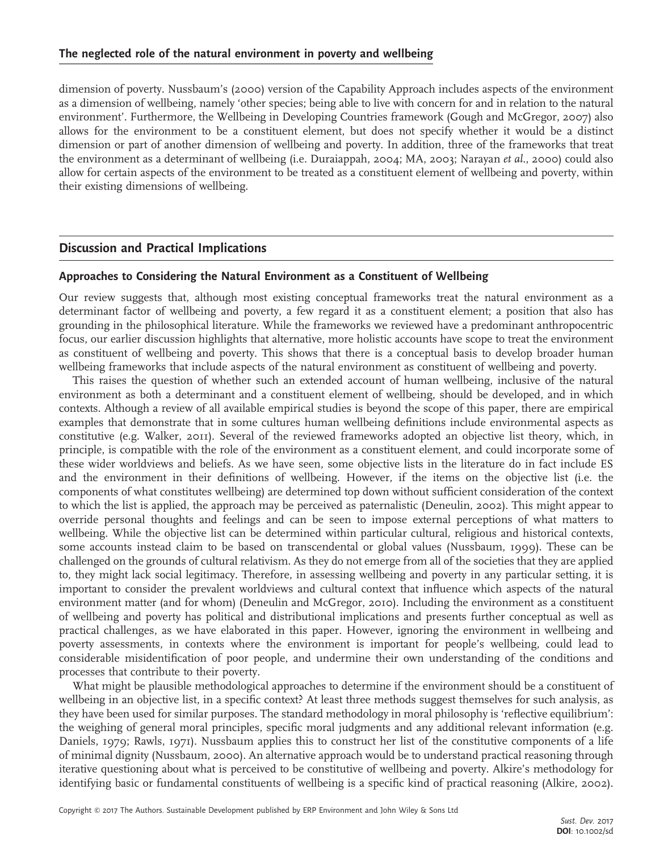dimension of poverty. Nussbaum's (2000) version of the Capability Approach includes aspects of the environment as a dimension of wellbeing, namely 'other species; being able to live with concern for and in relation to the natural environment'. Furthermore, the Wellbeing in Developing Countries framework (Gough and McGregor, 2007) also allows for the environment to be a constituent element, but does not specify whether it would be a distinct dimension or part of another dimension of wellbeing and poverty. In addition, three of the frameworks that treat the environment as a determinant of wellbeing (i.e. Duraiappah, 2004; MA, 2003; Narayan *et al.*, 2000) could also allow for certain aspects of the environment to be treated as a constituent element of wellbeing and poverty, within their existing dimensions of wellbeing.

#### Discussion and Practical Implications

#### Approaches to Considering the Natural Environment as a Constituent of Wellbeing

Our review suggests that, although most existing conceptual frameworks treat the natural environment as a determinant factor of wellbeing and poverty, a few regard it as a constituent element; a position that also has grounding in the philosophical literature. While the frameworks we reviewed have a predominant anthropocentric focus, our earlier discussion highlights that alternative, more holistic accounts have scope to treat the environment as constituent of wellbeing and poverty. This shows that there is a conceptual basis to develop broader human wellbeing frameworks that include aspects of the natural environment as constituent of wellbeing and poverty.

This raises the question of whether such an extended account of human wellbeing, inclusive of the natural environment as both a determinant and a constituent element of wellbeing, should be developed, and in which contexts. Although a review of all available empirical studies is beyond the scope of this paper, there are empirical examples that demonstrate that in some cultures human wellbeing definitions include environmental aspects as constitutive (e.g. Walker, 2011). Several of the reviewed frameworks adopted an objective list theory, which, in principle, is compatible with the role of the environment as a constituent element, and could incorporate some of these wider worldviews and beliefs. As we have seen, some objective lists in the literature do in fact include ES and the environment in their definitions of wellbeing. However, if the items on the objective list (i.e. the components of what constitutes wellbeing) are determined top down without sufficient consideration of the context to which the list is applied, the approach may be perceived as paternalistic (Deneulin, 2002). This might appear to override personal thoughts and feelings and can be seen to impose external perceptions of what matters to wellbeing. While the objective list can be determined within particular cultural, religious and historical contexts, some accounts instead claim to be based on transcendental or global values (Nussbaum, 1999). These can be challenged on the grounds of cultural relativism. As they do not emerge from all of the societies that they are applied to, they might lack social legitimacy. Therefore, in assessing wellbeing and poverty in any particular setting, it is important to consider the prevalent worldviews and cultural context that influence which aspects of the natural environment matter (and for whom) (Deneulin and McGregor, 2010). Including the environment as a constituent of wellbeing and poverty has political and distributional implications and presents further conceptual as well as practical challenges, as we have elaborated in this paper. However, ignoring the environment in wellbeing and poverty assessments, in contexts where the environment is important for people's wellbeing, could lead to considerable misidentification of poor people, and undermine their own understanding of the conditions and processes that contribute to their poverty.

What might be plausible methodological approaches to determine if the environment should be a constituent of wellbeing in an objective list, in a specific context? At least three methods suggest themselves for such analysis, as they have been used for similar purposes. The standard methodology in moral philosophy is 'reflective equilibrium': the weighing of general moral principles, specific moral judgments and any additional relevant information (e.g. Daniels, 1979; Rawls, 1971). Nussbaum applies this to construct her list of the constitutive components of a life of minimal dignity (Nussbaum, 2000). An alternative approach would be to understand practical reasoning through iterative questioning about what is perceived to be constitutive of wellbeing and poverty. Alkire's methodology for identifying basic or fundamental constituents of wellbeing is a specific kind of practical reasoning (Alkire, 2002).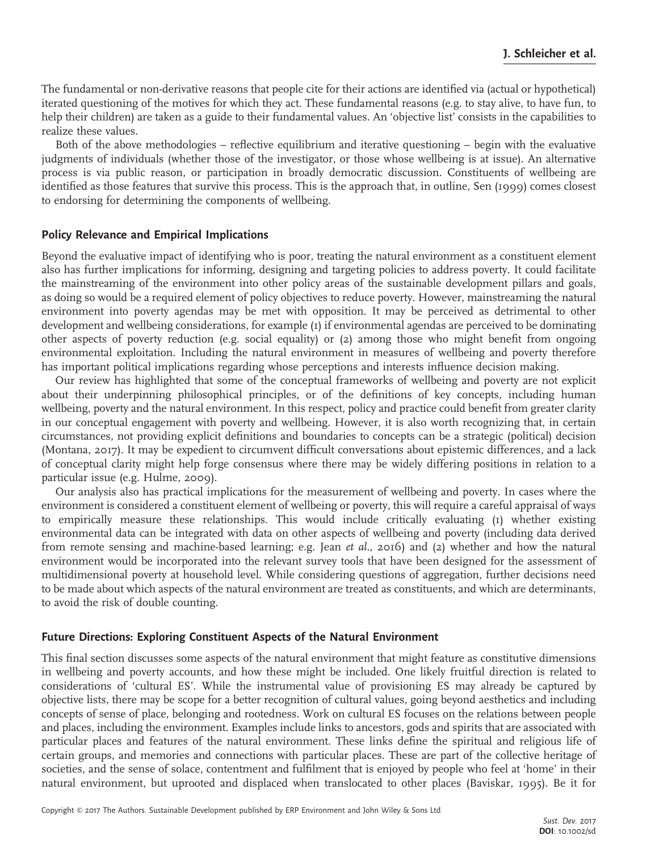The fundamental or non-derivative reasons that people cite for their actions are identified via (actual or hypothetical) iterated questioning of the motives for which they act. These fundamental reasons (e.g. to stay alive, to have fun, to help their children) are taken as a guide to their fundamental values. An 'objective list' consists in the capabilities to realize these values.

Both of the above methodologies – reflective equilibrium and iterative questioning – begin with the evaluative judgments of individuals (whether those of the investigator, or those whose wellbeing is at issue). An alternative process is via public reason, or participation in broadly democratic discussion. Constituents of wellbeing are identified as those features that survive this process. This is the approach that, in outline, Sen (1999) comes closest to endorsing for determining the components of wellbeing.

#### Policy Relevance and Empirical Implications

Beyond the evaluative impact of identifying who is poor, treating the natural environment as a constituent element also has further implications for informing, designing and targeting policies to address poverty. It could facilitate the mainstreaming of the environment into other policy areas of the sustainable development pillars and goals, as doing so would be a required element of policy objectives to reduce poverty. However, mainstreaming the natural environment into poverty agendas may be met with opposition. It may be perceived as detrimental to other development and wellbeing considerations, for example (1) if environmental agendas are perceived to be dominating other aspects of poverty reduction (e.g. social equality) or (2) among those who might benefit from ongoing environmental exploitation. Including the natural environment in measures of wellbeing and poverty therefore has important political implications regarding whose perceptions and interests influence decision making.

Our review has highlighted that some of the conceptual frameworks of wellbeing and poverty are not explicit about their underpinning philosophical principles, or of the definitions of key concepts, including human wellbeing, poverty and the natural environment. In this respect, policy and practice could benefit from greater clarity in our conceptual engagement with poverty and wellbeing. However, it is also worth recognizing that, in certain circumstances, not providing explicit definitions and boundaries to concepts can be a strategic (political) decision (Montana, 2017). It may be expedient to circumvent difficult conversations about epistemic differences, and a lack of conceptual clarity might help forge consensus where there may be widely differing positions in relation to a particular issue (e.g. Hulme, 2009).

Our analysis also has practical implications for the measurement of wellbeing and poverty. In cases where the environment is considered a constituent element of wellbeing or poverty, this will require a careful appraisal of ways to empirically measure these relationships. This would include critically evaluating (1) whether existing environmental data can be integrated with data on other aspects of wellbeing and poverty (including data derived from remote sensing and machine-based learning; e.g. Jean et al., 2016) and (2) whether and how the natural environment would be incorporated into the relevant survey tools that have been designed for the assessment of multidimensional poverty at household level. While considering questions of aggregation, further decisions need to be made about which aspects of the natural environment are treated as constituents, and which are determinants, to avoid the risk of double counting.

#### Future Directions: Exploring Constituent Aspects of the Natural Environment

This final section discusses some aspects of the natural environment that might feature as constitutive dimensions in wellbeing and poverty accounts, and how these might be included. One likely fruitful direction is related to considerations of 'cultural ES'. While the instrumental value of provisioning ES may already be captured by objective lists, there may be scope for a better recognition of cultural values, going beyond aesthetics and including concepts of sense of place, belonging and rootedness. Work on cultural ES focuses on the relations between people and places, including the environment. Examples include links to ancestors, gods and spirits that are associated with particular places and features of the natural environment. These links define the spiritual and religious life of certain groups, and memories and connections with particular places. These are part of the collective heritage of societies, and the sense of solace, contentment and fulfilment that is enjoyed by people who feel at 'home' in their natural environment, but uprooted and displaced when translocated to other places (Baviskar, 1995). Be it for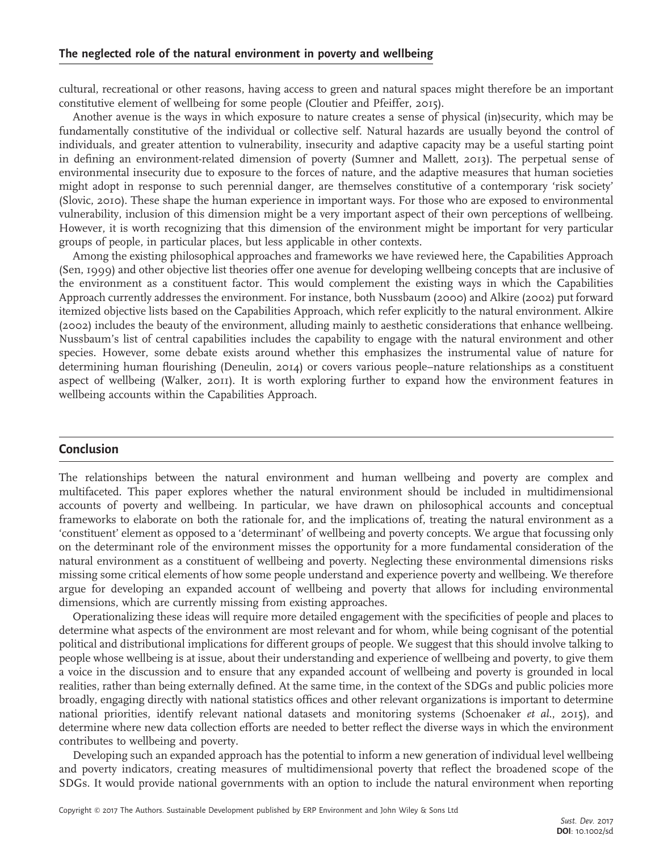cultural, recreational or other reasons, having access to green and natural spaces might therefore be an important constitutive element of wellbeing for some people (Cloutier and Pfeiffer, 2015).

Another avenue is the ways in which exposure to nature creates a sense of physical (in)security, which may be fundamentally constitutive of the individual or collective self. Natural hazards are usually beyond the control of individuals, and greater attention to vulnerability, insecurity and adaptive capacity may be a useful starting point in defining an environment-related dimension of poverty (Sumner and Mallett, 2013). The perpetual sense of environmental insecurity due to exposure to the forces of nature, and the adaptive measures that human societies might adopt in response to such perennial danger, are themselves constitutive of a contemporary 'risk society' (Slovic, 2010). These shape the human experience in important ways. For those who are exposed to environmental vulnerability, inclusion of this dimension might be a very important aspect of their own perceptions of wellbeing. However, it is worth recognizing that this dimension of the environment might be important for very particular groups of people, in particular places, but less applicable in other contexts.

Among the existing philosophical approaches and frameworks we have reviewed here, the Capabilities Approach (Sen, 1999) and other objective list theories offer one avenue for developing wellbeing concepts that are inclusive of the environment as a constituent factor. This would complement the existing ways in which the Capabilities Approach currently addresses the environment. For instance, both Nussbaum (2000) and Alkire (2002) put forward itemized objective lists based on the Capabilities Approach, which refer explicitly to the natural environment. Alkire (2002) includes the beauty of the environment, alluding mainly to aesthetic considerations that enhance wellbeing. Nussbaum's list of central capabilities includes the capability to engage with the natural environment and other species. However, some debate exists around whether this emphasizes the instrumental value of nature for determining human flourishing (Deneulin, 2014) or covers various people–nature relationships as a constituent aspect of wellbeing (Walker, 2011). It is worth exploring further to expand how the environment features in wellbeing accounts within the Capabilities Approach.

#### Conclusion

The relationships between the natural environment and human wellbeing and poverty are complex and multifaceted. This paper explores whether the natural environment should be included in multidimensional accounts of poverty and wellbeing. In particular, we have drawn on philosophical accounts and conceptual frameworks to elaborate on both the rationale for, and the implications of, treating the natural environment as a 'constituent' element as opposed to a 'determinant' of wellbeing and poverty concepts. We argue that focussing only on the determinant role of the environment misses the opportunity for a more fundamental consideration of the natural environment as a constituent of wellbeing and poverty. Neglecting these environmental dimensions risks missing some critical elements of how some people understand and experience poverty and wellbeing. We therefore argue for developing an expanded account of wellbeing and poverty that allows for including environmental dimensions, which are currently missing from existing approaches.

Operationalizing these ideas will require more detailed engagement with the specificities of people and places to determine what aspects of the environment are most relevant and for whom, while being cognisant of the potential political and distributional implications for different groups of people. We suggest that this should involve talking to people whose wellbeing is at issue, about their understanding and experience of wellbeing and poverty, to give them a voice in the discussion and to ensure that any expanded account of wellbeing and poverty is grounded in local realities, rather than being externally defined. At the same time, in the context of the SDGs and public policies more broadly, engaging directly with national statistics offices and other relevant organizations is important to determine national priorities, identify relevant national datasets and monitoring systems (Schoenaker et al., 2015), and determine where new data collection efforts are needed to better reflect the diverse ways in which the environment contributes to wellbeing and poverty.

Developing such an expanded approach has the potential to inform a new generation of individual level wellbeing and poverty indicators, creating measures of multidimensional poverty that reflect the broadened scope of the SDGs. It would provide national governments with an option to include the natural environment when reporting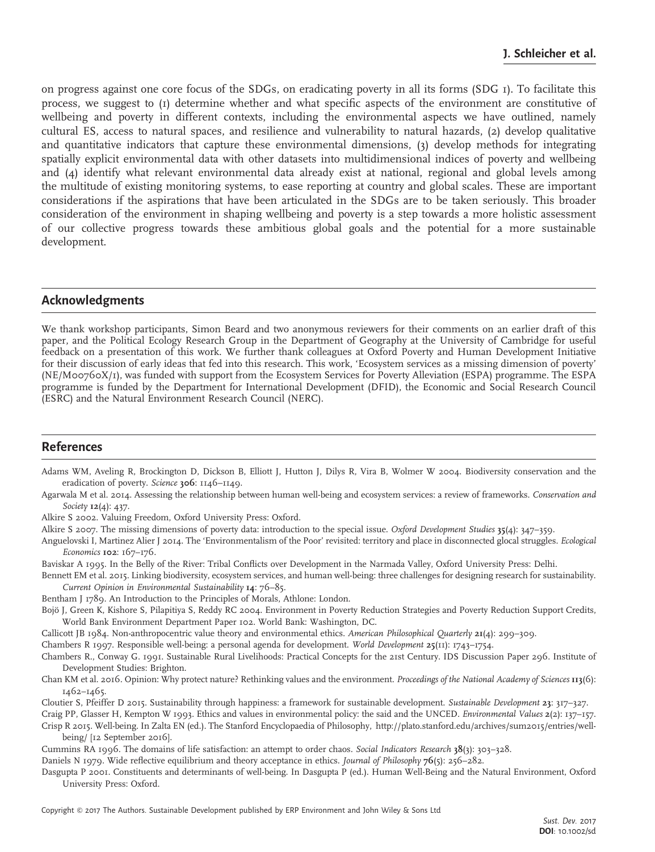on progress against one core focus of the SDGs, on eradicating poverty in all its forms (SDG 1). To facilitate this process, we suggest to (1) determine whether and what specific aspects of the environment are constitutive of wellbeing and poverty in different contexts, including the environmental aspects we have outlined, namely cultural ES, access to natural spaces, and resilience and vulnerability to natural hazards, (2) develop qualitative and quantitative indicators that capture these environmental dimensions, (3) develop methods for integrating spatially explicit environmental data with other datasets into multidimensional indices of poverty and wellbeing and (4) identify what relevant environmental data already exist at national, regional and global levels among the multitude of existing monitoring systems, to ease reporting at country and global scales. These are important considerations if the aspirations that have been articulated in the SDGs are to be taken seriously. This broader consideration of the environment in shaping wellbeing and poverty is a step towards a more holistic assessment of our collective progress towards these ambitious global goals and the potential for a more sustainable development.

#### Acknowledgments

We thank workshop participants, Simon Beard and two anonymous reviewers for their comments on an earlier draft of this paper, and the Political Ecology Research Group in the Department of Geography at the University of Cambridge for useful feedback on a presentation of this work. We further thank colleagues at Oxford Poverty and Human Development Initiative for their discussion of early ideas that fed into this research. This work, 'Ecosystem services as a missing dimension of poverty' (NE/M00760X/1), was funded with support from the Ecosystem Services for Poverty Alleviation (ESPA) programme. The ESPA programme is funded by the Department for International Development (DFID), the Economic and Social Research Council (ESRC) and the Natural Environment Research Council (NERC).

#### References

Adams WM, Aveling R, Brockington D, Dickson B, Elliott J, Hutton J, Dilys R, Vira B, Wolmer W 2004. Biodiversity conservation and the eradication of poverty. Science 306: 1146-1149.

Agarwala M et al. 2014. Assessing the relationship between human well-being and ecosystem services: a review of frameworks. Conservation and Society 12(4): 437.

Alkire S 2002. Valuing Freedom, Oxford University Press: Oxford.

Alkire S 2007. The missing dimensions of poverty data: introduction to the special issue. Oxford Development Studies 35(4): 347-359.

Anguelovski I, Martinez Alier J 2014. The 'Environmentalism of the Poor' revisited: territory and place in disconnected glocal struggles. Ecological Economics 102: 167–176.

Baviskar A 1995. In the Belly of the River: Tribal Conflicts over Development in the Narmada Valley, Oxford University Press: Delhi.

Bennett EM et al. 2015. Linking biodiversity, ecosystem services, and human well-being: three challenges for designing research for sustainability. Current Opinion in Environmental Sustainability 14: 76–85.

Bentham J 1789. An Introduction to the Principles of Morals, Athlone: London.

Bojö J, Green K, Kishore S, Pilapitiya S, Reddy RC 2004. Environment in Poverty Reduction Strategies and Poverty Reduction Support Credits, World Bank Environment Department Paper 102. World Bank: Washington, DC.

Callicott JB 1984. Non-anthropocentric value theory and environmental ethics. American Philosophical Quarterly 21(4): 299–309.

Chambers R 1997. Responsible well-being: a personal agenda for development. World Development 25(11): 1743–1754.

Chambers R., Conway G. 1991. Sustainable Rural Livelihoods: Practical Concepts for the 21st Century. IDS Discussion Paper 296. Institute of Development Studies: Brighton.

Chan KM et al. 2016. Opinion: Why protect nature? Rethinking values and the environment. Proceedings of the National Academy of Sciences 113(6): 1462–1465.

Cloutier S, Pfeiffer D 2015. Sustainability through happiness: a framework for sustainable development. Sustainable Development 23: 317-327.

Craig PP, Glasser H, Kempton W 1993. Ethics and values in environmental policy: the said and the UNCED. Environmental Values 2(2): 137–157.

Crisp R 2015. Well-being. In Zalta EN (ed.). The Stanford Encyclopaedia of Philosophy, [http://plato.stanford.edu/archives/sum2015/entries/well](http://plato.stanford.edu/archives/sum2015/entries/well-being)[being/](http://plato.stanford.edu/archives/sum2015/entries/well-being) [12 September 2016].

Cummins RA 1996. The domains of life satisfaction: an attempt to order chaos. Social Indicators Research 38(3): 303–328.

Daniels N 1979. Wide reflective equilibrium and theory acceptance in ethics. Journal of Philosophy 76(5): 256–282.

Dasgupta P 2001. Constituents and determinants of well-being. In Dasgupta P (ed.). Human Well-Being and the Natural Environment, Oxford University Press: Oxford.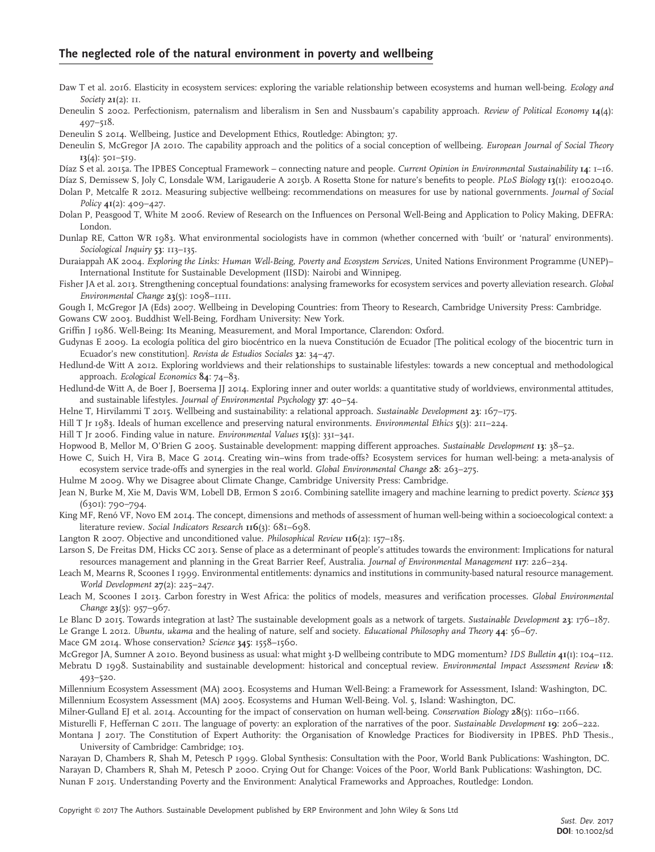Daw T et al. 2016. Elasticity in ecosystem services: exploring the variable relationship between ecosystems and human well-being. Ecology and Society  $2I(2)$ : II.

Deneulin S 2002. Perfectionism, paternalism and liberalism in Sen and Nussbaum's capability approach. Review of Political Economy 14(4): 497–518.

Deneulin S 2014. Wellbeing, Justice and Development Ethics, Routledge: Abington; 37.

Deneulin S, McGregor JA 2010. The capability approach and the politics of a social conception of wellbeing. European Journal of Social Theory 13(4): 501–519.

Díaz S et al. 2015a. The IPBES Conceptual Framework – connecting nature and people. Current Opinion in Environmental Sustainability 14: 1-16.

Díaz S, Demissew S, Joly C, Lonsdale WM, Larigauderie A 2015b. A Rosetta Stone for nature's benefits to people. PLoS Biology 13(1): e1002040. Dolan P, Metcalfe R 2012. Measuring subjective wellbeing: recommendations on measures for use by national governments. Journal of Social

Policy  $4I(2)$ :  $409-427$ .

Dolan P, Peasgood T, White M 2006. Review of Research on the Influences on Personal Well-Being and Application to Policy Making, DEFRA: London.

Dunlap RE, Catton WR 1983. What environmental sociologists have in common (whether concerned with 'built' or 'natural' environments). Sociological Inquiry 53: 113-135.

Duraiappah AK 2004. Exploring the Links: Human Well-Being, Poverty and Ecosystem Services, United Nations Environment Programme (UNEP)– International Institute for Sustainable Development (IISD): Nairobi and Winnipeg.

Fisher JA et al. 2013. Strengthening conceptual foundations: analysing frameworks for ecosystem services and poverty alleviation research. Global Environmental Change 23(5): 1098-1111.

Gough I, McGregor JA (Eds) 2007. Wellbeing in Developing Countries: from Theory to Research, Cambridge University Press: Cambridge. Gowans CW 2003. Buddhist Well-Being, Fordham University: New York.

Griffin J 1986. Well-Being: Its Meaning, Measurement, and Moral Importance, Clarendon: Oxford.

Gudynas E 2009. La ecología política del giro biocéntrico en la nueva Constitución de Ecuador [The political ecology of the biocentric turn in Ecuador's new constitution]. Revista de Estudios Sociales 32: 34–47.

Hedlund-de Witt A 2012. Exploring worldviews and their relationships to sustainable lifestyles: towards a new conceptual and methodological approach. Ecological Economics 84: 74–83.

Hedlund-de Witt A, de Boer J, Boersema JJ 2014. Exploring inner and outer worlds: a quantitative study of worldviews, environmental attitudes, and sustainable lifestyles. Journal of Environmental Psychology 37: 40–54.

Helne T, Hirvilammi T 2015. Wellbeing and sustainability: a relational approach. Sustainable Development 23: 167-175.

Hill T Jr 1983. Ideals of human excellence and preserving natural environments. Environmental Ethics 5(3): 211-224.

Hill T Jr 2006. Finding value in nature. Environmental Values 15(3): 331-341.

Hopwood B, Mellor M, O'Brien G 2005. Sustainable development: mapping different approaches. Sustainable Development 13: 38-52.

- Howe C, Suich H, Vira B, Mace G 2014. Creating win–wins from trade-offs? Ecosystem services for human well-being: a meta-analysis of ecosystem service trade-offs and synergies in the real world. Global Environmental Change 28: 263–275.
- Hulme M 2009. Why we Disagree about Climate Change, Cambridge University Press: Cambridge.

Jean N, Burke M, Xie M, Davis WM, Lobell DB, Ermon S 2016. Combining satellite imagery and machine learning to predict poverty. Science 353 (6301): 790–794.

King MF, Renó VF, Novo EM 2014. The concept, dimensions and methods of assessment of human well-being within a socioecological context: a literature review. Social Indicators Research 116(3): 681-698.

Langton R 2007. Objective and unconditioned value. Philosophical Review  $116(2)$ : 157-185.

Larson S, De Freitas DM, Hicks CC 2013. Sense of place as a determinant of people's attitudes towards the environment: Implications for natural resources management and planning in the Great Barrier Reef, Australia. Journal of Environmental Management 117: 226–234.

Leach M, Mearns R, Scoones I 1999. Environmental entitlements: dynamics and institutions in community-based natural resource management. World Development 27(2): 225–247.

Leach M, Scoones I 2013. Carbon forestry in West Africa: the politics of models, measures and verification processes. Global Environmental Change 23(5): 957-967.

Le Blanc D 2015. Towards integration at last? The sustainable development goals as a network of targets. Sustainable Development 23: 176–187.

Le Grange L 2012. Ubuntu, ukama and the healing of nature, self and society. Educational Philosophy and Theory 44: 56–67.

Mace GM 2014. Whose conservation? Science 345: 1558-1560.

McGregor JA, Sumner A 2010. Beyond business as usual: what might 3-D wellbeing contribute to MDG momentum? IDS Bulletin 41(1): 104–112. Mebratu D 1998. Sustainability and sustainable development: historical and conceptual review. Environmental Impact Assessment Review 18: 493–520.

Millennium Ecosystem Assessment (MA) 2003. Ecosystems and Human Well-Being: a Framework for Assessment, Island: Washington, DC. Millennium Ecosystem Assessment (MA) 2005. Ecosystems and Human Well-Being. Vol. 5, Island: Washington, DC.

Milner-Gulland EJ et al. 2014. Accounting for the impact of conservation on human well-being. Conservation Biology 28(5): 1160-1166.

Misturelli F, Heffernan C 2011. The language of poverty: an exploration of the narratives of the poor. Sustainable Development 19: 206–222. Montana J 2017. The Constitution of Expert Authority: the Organisation of Knowledge Practices for Biodiversity in IPBES. PhD Thesis.,

University of Cambridge: Cambridge; 103.

Narayan D, Chambers R, Shah M, Petesch P 1999. Global Synthesis: Consultation with the Poor, World Bank Publications: Washington, DC. Narayan D, Chambers R, Shah M, Petesch P 2000. Crying Out for Change: Voices of the Poor, World Bank Publications: Washington, DC. Nunan F 2015. Understanding Poverty and the Environment: Analytical Frameworks and Approaches, Routledge: London.